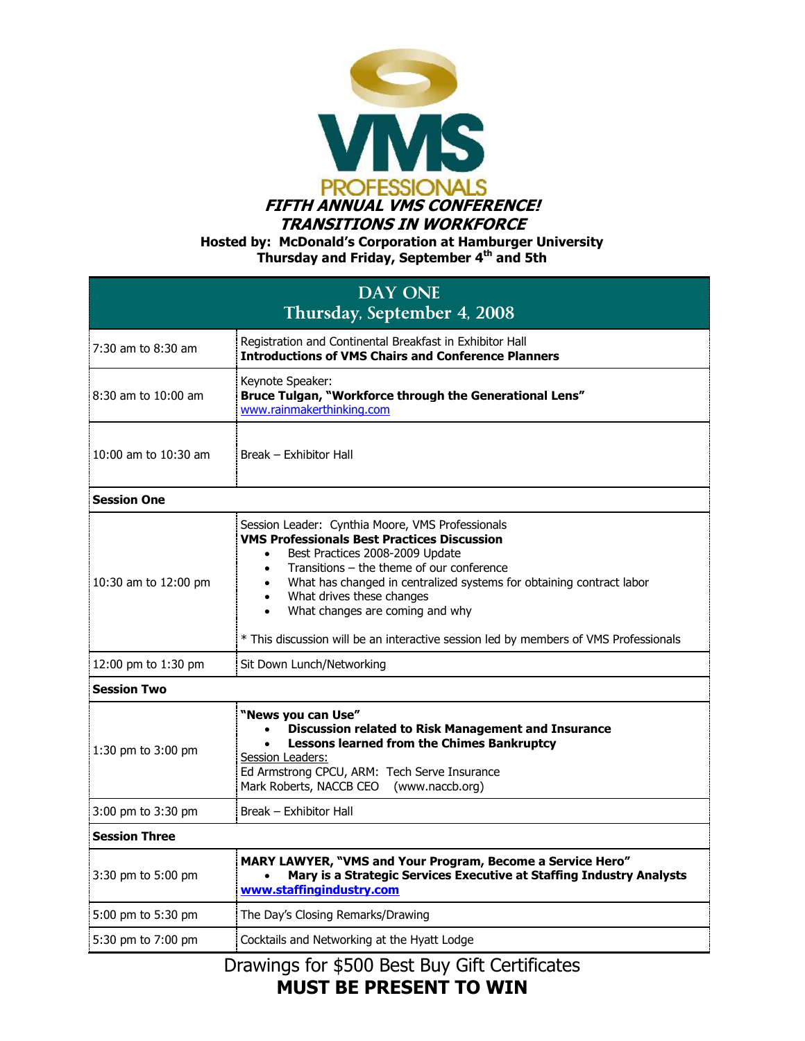

**Hosted by: McDonald's Corporation at Hamburger University Thursday and Friday, September 4th and 5th**

| <b>DAY ONE</b><br>Thursday, September 4, 2008 |                                                                                                                                                                                                                                                                                                                                                                                                                                                       |
|-----------------------------------------------|-------------------------------------------------------------------------------------------------------------------------------------------------------------------------------------------------------------------------------------------------------------------------------------------------------------------------------------------------------------------------------------------------------------------------------------------------------|
| 7:30 am to 8:30 am                            | Registration and Continental Breakfast in Exhibitor Hall<br><b>Introductions of VMS Chairs and Conference Planners</b>                                                                                                                                                                                                                                                                                                                                |
| 8:30 am to 10:00 am                           | Keynote Speaker:<br>Bruce Tulgan, "Workforce through the Generational Lens"<br>www.rainmakerthinking.com                                                                                                                                                                                                                                                                                                                                              |
| 10:00 am to 10:30 am                          | Break – Exhibitor Hall                                                                                                                                                                                                                                                                                                                                                                                                                                |
| <b>Session One</b>                            |                                                                                                                                                                                                                                                                                                                                                                                                                                                       |
| 10:30 am to 12:00 pm                          | Session Leader: Cynthia Moore, VMS Professionals<br><b>VMS Professionals Best Practices Discussion</b><br>Best Practices 2008-2009 Update<br>Transitions - the theme of our conference<br>٠<br>What has changed in centralized systems for obtaining contract labor<br>What drives these changes<br>$\bullet$<br>What changes are coming and why<br>$\bullet$<br>* This discussion will be an interactive session led by members of VMS Professionals |
| 12:00 pm to 1:30 pm                           | Sit Down Lunch/Networking                                                                                                                                                                                                                                                                                                                                                                                                                             |
| <b>Session Two</b>                            |                                                                                                                                                                                                                                                                                                                                                                                                                                                       |
| 1:30 pm to 3:00 pm                            | "News you can Use"<br><b>Discussion related to Risk Management and Insurance</b><br>$\bullet$<br><b>Lessons learned from the Chimes Bankruptcy</b><br>Session Leaders:<br>Ed Armstrong CPCU, ARM: Tech Serve Insurance<br>Mark Roberts, NACCB CEO (www.naccb.org)                                                                                                                                                                                     |
| 3:00 pm to 3:30 pm                            | Break - Exhibitor Hall                                                                                                                                                                                                                                                                                                                                                                                                                                |
| <b>Session Three</b>                          |                                                                                                                                                                                                                                                                                                                                                                                                                                                       |
| 3:30 pm to 5:00 pm                            | MARY LAWYER, "VMS and Your Program, Become a Service Hero"<br>Mary is a Strategic Services Executive at Staffing Industry Analysts<br>www.staffingindustry.com                                                                                                                                                                                                                                                                                        |
| 5:00 pm to 5:30 pm                            | The Day's Closing Remarks/Drawing                                                                                                                                                                                                                                                                                                                                                                                                                     |
| 5:30 pm to 7:00 pm                            | Cocktails and Networking at the Hyatt Lodge                                                                                                                                                                                                                                                                                                                                                                                                           |
|                                               | Drawings for \$500 Best Buy Gift Certificates                                                                                                                                                                                                                                                                                                                                                                                                         |

Drawings for \$500 Best Buy Gift Certificates **MUST BE PRESENT TO WIN**